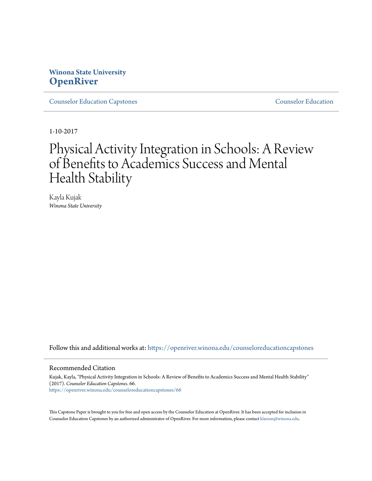# **Winona State University [OpenRiver](https://openriver.winona.edu?utm_source=openriver.winona.edu%2Fcounseloreducationcapstones%2F66&utm_medium=PDF&utm_campaign=PDFCoverPages)**

[Counselor Education Capstones](https://openriver.winona.edu/counseloreducationcapstones?utm_source=openriver.winona.edu%2Fcounseloreducationcapstones%2F66&utm_medium=PDF&utm_campaign=PDFCoverPages) [Counselor Education](https://openriver.winona.edu/counseloreducation?utm_source=openriver.winona.edu%2Fcounseloreducationcapstones%2F66&utm_medium=PDF&utm_campaign=PDFCoverPages)

1-10-2017

# Physical Activity Integration in Schools: A Review of Benefits to Academics Success and Mental Health Stability

Kayla Kujak *Winona State University*

Follow this and additional works at: [https://openriver.winona.edu/counseloreducationcapstones](https://openriver.winona.edu/counseloreducationcapstones?utm_source=openriver.winona.edu%2Fcounseloreducationcapstones%2F66&utm_medium=PDF&utm_campaign=PDFCoverPages)

#### Recommended Citation

Kujak, Kayla, "Physical Activity Integration in Schools: A Review of Benefits to Academics Success and Mental Health Stability" (2017). *Counselor Education Capstones*. 66. [https://openriver.winona.edu/counseloreducationcapstones/66](https://openriver.winona.edu/counseloreducationcapstones/66?utm_source=openriver.winona.edu%2Fcounseloreducationcapstones%2F66&utm_medium=PDF&utm_campaign=PDFCoverPages)

This Capstone Paper is brought to you for free and open access by the Counselor Education at OpenRiver. It has been accepted for inclusion in Counselor Education Capstones by an authorized administrator of OpenRiver. For more information, please contact [klarson@winona.edu](mailto:klarson@winona.edu).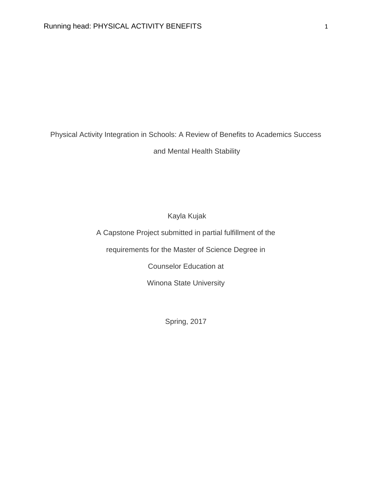Physical Activity Integration in Schools: A Review of Benefits to Academics Success

and Mental Health Stability

Kayla Kujak

A Capstone Project submitted in partial fulfillment of the

requirements for the Master of Science Degree in

Counselor Education at

Winona State University

Spring, 2017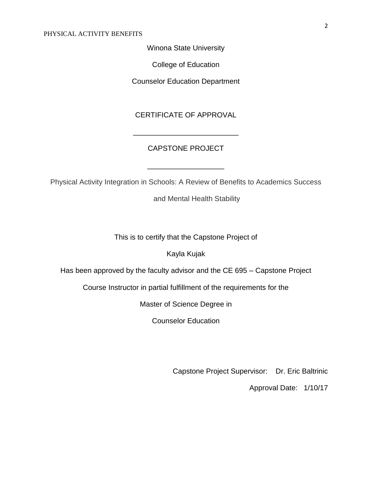Winona State University

College of Education

Counselor Education Department

## CERTIFICATE OF APPROVAL

### CAPSTONE PROJECT

\_\_\_\_\_\_\_\_\_\_\_\_\_\_\_\_\_\_\_

\_\_\_\_\_\_\_\_\_\_\_\_\_\_\_\_\_\_\_\_\_\_\_\_\_\_

Physical Activity Integration in Schools: A Review of Benefits to Academics Success

and Mental Health Stability

This is to certify that the Capstone Project of

Kayla Kujak

Has been approved by the faculty advisor and the CE 695 – Capstone Project

Course Instructor in partial fulfillment of the requirements for the

Master of Science Degree in

Counselor Education

Capstone Project Supervisor: Dr. Eric Baltrinic

Approval Date: 1/10/17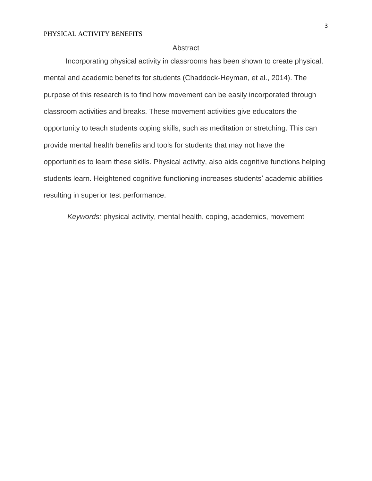#### **Abstract**

Incorporating physical activity in classrooms has been shown to create physical, mental and academic benefits for students (Chaddock-Heyman, et al., 2014). The purpose of this research is to find how movement can be easily incorporated through classroom activities and breaks. These movement activities give educators the opportunity to teach students coping skills, such as meditation or stretching. This can provide mental health benefits and tools for students that may not have the opportunities to learn these skills. Physical activity, also aids cognitive functions helping students learn. Heightened cognitive functioning increases students' academic abilities resulting in superior test performance.

*Keywords:* physical activity, mental health, coping, academics, movement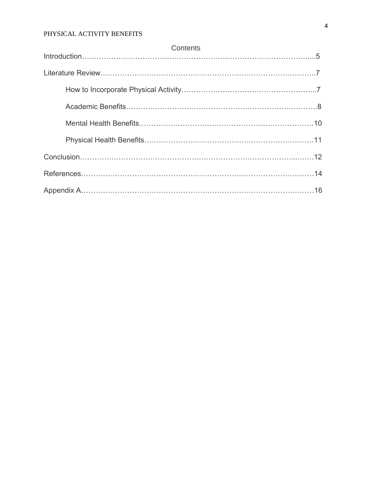| Contents |
|----------|
|          |
|          |
|          |
|          |
|          |
|          |
|          |
|          |
|          |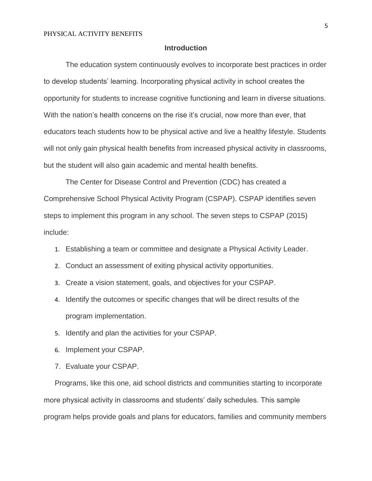#### **Introduction**

The education system continuously evolves to incorporate best practices in order to develop students' learning. Incorporating physical activity in school creates the opportunity for students to increase cognitive functioning and learn in diverse situations. With the nation's health concerns on the rise it's crucial, now more than ever, that educators teach students how to be physical active and live a healthy lifestyle. Students will not only gain physical health benefits from increased physical activity in classrooms, but the student will also gain academic and mental health benefits.

The Center for Disease Control and Prevention (CDC) has created a Comprehensive School Physical Activity Program (CSPAP). CSPAP identifies seven steps to implement this program in any school. The seven steps to CSPAP (2015) include:

- 1. Establishing a team or committee and designate a Physical Activity Leader.
- 2. Conduct an assessment of exiting physical activity opportunities.
- 3. Create a vision statement, goals, and objectives for your CSPAP.
- 4. Identify the outcomes or specific changes that will be direct results of the program implementation.
- 5. Identify and plan the activities for your CSPAP.
- 6. Implement your CSPAP.
- 7. Evaluate your CSPAP.

Programs, like this one, aid school districts and communities starting to incorporate more physical activity in classrooms and students' daily schedules. This sample program helps provide goals and plans for educators, families and community members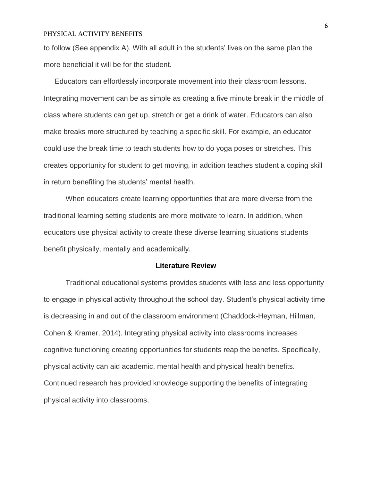to follow (See appendix A). With all adult in the students' lives on the same plan the more beneficial it will be for the student.

Educators can effortlessly incorporate movement into their classroom lessons. Integrating movement can be as simple as creating a five minute break in the middle of class where students can get up, stretch or get a drink of water. Educators can also make breaks more structured by teaching a specific skill. For example, an educator could use the break time to teach students how to do yoga poses or stretches. This creates opportunity for student to get moving, in addition teaches student a coping skill in return benefiting the students' mental health.

When educators create learning opportunities that are more diverse from the traditional learning setting students are more motivate to learn. In addition, when educators use physical activity to create these diverse learning situations students benefit physically, mentally and academically.

#### **Literature Review**

Traditional educational systems provides students with less and less opportunity to engage in physical activity throughout the school day. Student's physical activity time is decreasing in and out of the classroom environment (Chaddock-Heyman, Hillman, Cohen & Kramer, 2014). Integrating physical activity into classrooms increases cognitive functioning creating opportunities for students reap the benefits. Specifically, physical activity can aid academic, mental health and physical health benefits. Continued research has provided knowledge supporting the benefits of integrating physical activity into classrooms.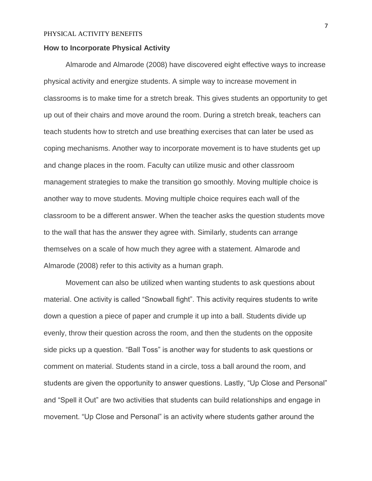#### **How to Incorporate Physical Activity**

Almarode and Almarode (2008) have discovered eight effective ways to increase physical activity and energize students. A simple way to increase movement in classrooms is to make time for a stretch break. This gives students an opportunity to get up out of their chairs and move around the room. During a stretch break, teachers can teach students how to stretch and use breathing exercises that can later be used as coping mechanisms. Another way to incorporate movement is to have students get up and change places in the room. Faculty can utilize music and other classroom management strategies to make the transition go smoothly. Moving multiple choice is another way to move students. Moving multiple choice requires each wall of the classroom to be a different answer. When the teacher asks the question students move to the wall that has the answer they agree with. Similarly, students can arrange themselves on a scale of how much they agree with a statement. Almarode and Almarode (2008) refer to this activity as a human graph.

Movement can also be utilized when wanting students to ask questions about material. One activity is called "Snowball fight". This activity requires students to write down a question a piece of paper and crumple it up into a ball. Students divide up evenly, throw their question across the room, and then the students on the opposite side picks up a question. "Ball Toss" is another way for students to ask questions or comment on material. Students stand in a circle, toss a ball around the room, and students are given the opportunity to answer questions. Lastly, "Up Close and Personal" and "Spell it Out" are two activities that students can build relationships and engage in movement. "Up Close and Personal" is an activity where students gather around the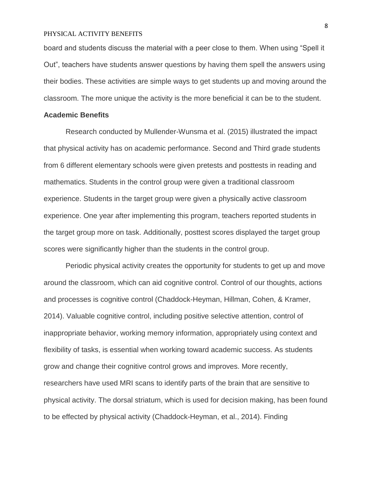board and students discuss the material with a peer close to them. When using "Spell it Out", teachers have students answer questions by having them spell the answers using their bodies. These activities are simple ways to get students up and moving around the classroom. The more unique the activity is the more beneficial it can be to the student.

#### **Academic Benefits**

Research conducted by Mullender-Wunsma et al. (2015) illustrated the impact that physical activity has on academic performance. Second and Third grade students from 6 different elementary schools were given pretests and posttests in reading and mathematics. Students in the control group were given a traditional classroom experience. Students in the target group were given a physically active classroom experience. One year after implementing this program, teachers reported students in the target group more on task. Additionally, posttest scores displayed the target group scores were significantly higher than the students in the control group.

Periodic physical activity creates the opportunity for students to get up and move around the classroom, which can aid cognitive control. Control of our thoughts, actions and processes is cognitive control (Chaddock-Heyman, Hillman, Cohen, & Kramer, 2014). Valuable cognitive control, including positive selective attention, control of inappropriate behavior, working memory information, appropriately using context and flexibility of tasks, is essential when working toward academic success. As students grow and change their cognitive control grows and improves. More recently, researchers have used MRI scans to identify parts of the brain that are sensitive to physical activity. The dorsal striatum, which is used for decision making, has been found to be effected by physical activity (Chaddock-Heyman, et al., 2014). Finding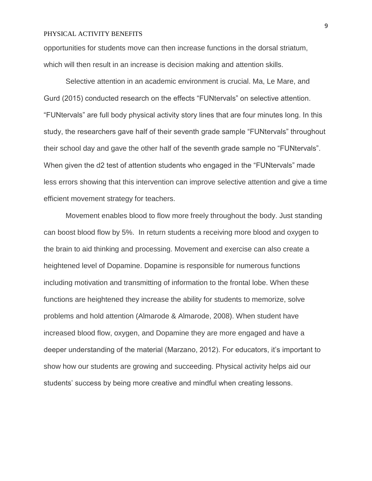opportunities for students move can then increase functions in the dorsal striatum, which will then result in an increase is decision making and attention skills.

Selective attention in an academic environment is crucial. Ma, Le Mare, and Gurd (2015) conducted research on the effects "FUNtervals" on selective attention. "FUNtervals" are full body physical activity story lines that are four minutes long. In this study, the researchers gave half of their seventh grade sample "FUNtervals" throughout their school day and gave the other half of the seventh grade sample no "FUNtervals". When given the d2 test of attention students who engaged in the "FUNtervals" made less errors showing that this intervention can improve selective attention and give a time efficient movement strategy for teachers.

Movement enables blood to flow more freely throughout the body. Just standing can boost blood flow by 5%. In return students a receiving more blood and oxygen to the brain to aid thinking and processing. Movement and exercise can also create a heightened level of Dopamine. Dopamine is responsible for numerous functions including motivation and transmitting of information to the frontal lobe. When these functions are heightened they increase the ability for students to memorize, solve problems and hold attention (Almarode & Almarode, 2008). When student have increased blood flow, oxygen, and Dopamine they are more engaged and have a deeper understanding of the material (Marzano, 2012). For educators, it's important to show how our students are growing and succeeding. Physical activity helps aid our students' success by being more creative and mindful when creating lessons.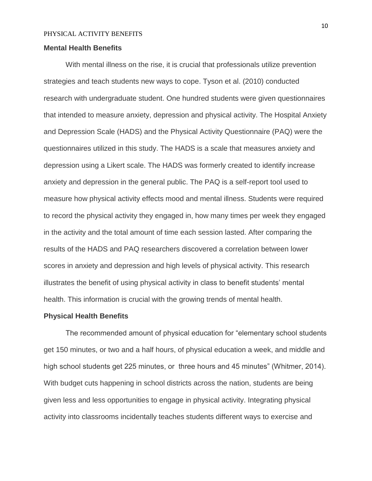#### **Mental Health Benefits**

With mental illness on the rise, it is crucial that professionals utilize prevention strategies and teach students new ways to cope. Tyson et al. (2010) conducted research with undergraduate student. One hundred students were given questionnaires that intended to measure anxiety, depression and physical activity. The Hospital Anxiety and Depression Scale (HADS) and the Physical Activity Questionnaire (PAQ) were the questionnaires utilized in this study. The HADS is a scale that measures anxiety and depression using a Likert scale. The HADS was formerly created to identify increase anxiety and depression in the general public. The PAQ is a self-report tool used to measure how physical activity effects mood and mental illness. Students were required to record the physical activity they engaged in, how many times per week they engaged in the activity and the total amount of time each session lasted. After comparing the results of the HADS and PAQ researchers discovered a correlation between lower scores in anxiety and depression and high levels of physical activity. This research illustrates the benefit of using physical activity in class to benefit students' mental health. This information is crucial with the growing trends of mental health.

#### **Physical Health Benefits**

The recommended amount of physical education for "elementary school students get 150 minutes, or two and a half hours, of physical education a week, and middle and high school students get 225 minutes, or three hours and 45 minutes" (Whitmer, 2014). With budget cuts happening in school districts across the nation, students are being given less and less opportunities to engage in physical activity. Integrating physical activity into classrooms incidentally teaches students different ways to exercise and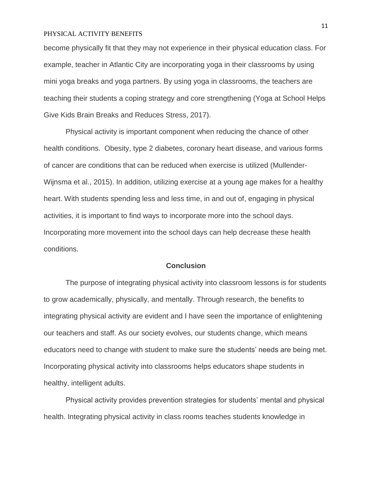become physically fit that they may not experience in their physical education class. For example, teacher in Atlantic City are incorporating yoga in their classrooms by using mini yoga breaks and yoga partners. By using yoga in classrooms, the teachers are teaching their students a coping strategy and core strengthening (Yoga at School Helps Give Kids Brain Breaks and Reduces Stress, 2017).

Physical activity is important component when reducing the chance of other health conditions. Obesity, type 2 diabetes, coronary heart disease, and various forms of cancer are conditions that can be reduced when exercise is utilized (Mullender-Wijnsma et al., 2015). In addition, utilizing exercise at a young age makes for a healthy heart. With students spending less and less time, in and out of, engaging in physical activities, it is important to find ways to incorporate more into the school days. Incorporating more movement into the school days can help decrease these health conditions.

#### **Conclusion**

The purpose of integrating physical activity into classroom lessons is for students to grow academically, physically, and mentally. Through research, the benefits to integrating physical activity are evident and I have seen the importance of enlightening our teachers and staff. As our society evolves, our students change, which means educators need to change with student to make sure the students' needs are being met. Incorporating physical activity into classrooms helps educators shape students in healthy, intelligent adults.

Physical activity provides prevention strategies for students' mental and physical health. Integrating physical activity in class rooms teaches students knowledge in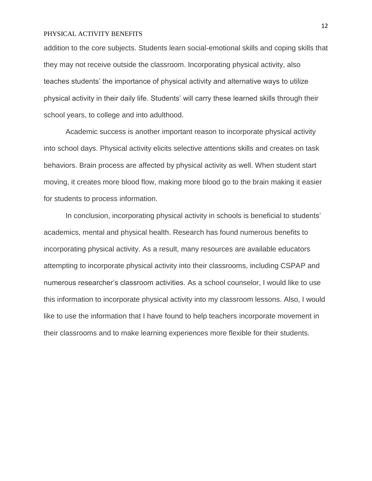addition to the core subjects. Students learn social-emotional skills and coping skills that they may not receive outside the classroom. Incorporating physical activity, also teaches students' the importance of physical activity and alternative ways to utilize physical activity in their daily life. Students' will carry these learned skills through their school years, to college and into adulthood.

Academic success is another important reason to incorporate physical activity into school days. Physical activity elicits selective attentions skills and creates on task behaviors. Brain process are affected by physical activity as well. When student start moving, it creates more blood flow, making more blood go to the brain making it easier for students to process information.

In conclusion, incorporating physical activity in schools is beneficial to students' academics, mental and physical health. Research has found numerous benefits to incorporating physical activity. As a result, many resources are available educators attempting to incorporate physical activity into their classrooms, including CSPAP and numerous researcher's classroom activities. As a school counselor, I would like to use this information to incorporate physical activity into my classroom lessons. Also, I would like to use the information that I have found to help teachers incorporate movement in their classrooms and to make learning experiences more flexible for their students.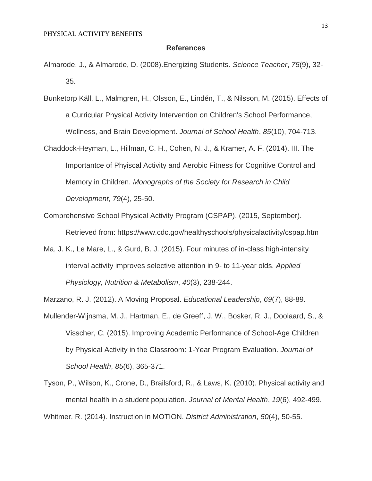#### **References**

- Almarode, J., & Almarode, D. (2008).Energizing Students. *Science Teacher*, *75*(9), 32- 35.
- Bunketorp Käll, L., Malmgren, H., Olsson, E., Lindén, T., & Nilsson, M. (2015). Effects of a Curricular Physical Activity Intervention on Children's School Performance, Wellness, and Brain Development. *Journal of School Health*, *85*(10), 704-713.
- Chaddock-Heyman, L., Hillman, C. H., Cohen, N. J., & Kramer, A. F. (2014). III. The Importantce of Phyiscal Activity and Aerobic Fitness for Cognitive Control and Memory in Children. *Monographs of the Society for Research in Child Development*, *79*(4), 25-50.
- Comprehensive School Physical Activity Program (CSPAP). (2015, September). Retrieved from: https://www.cdc.gov/healthyschools/physicalactivity/cspap.htm
- Ma, J. K., Le Mare, L., & Gurd, B. J. (2015). Four minutes of in-class high-intensity interval activity improves selective attention in 9- to 11-year olds. *Applied Physiology, Nutrition & Metabolism*, *40*(3), 238-244.

Marzano, R. J. (2012). A Moving Proposal. *Educational Leadership*, *69*(7), 88-89.

Mullender-Wijnsma, M. J., Hartman, E., de Greeff, J. W., Bosker, R. J., Doolaard, S., & Visscher, C. (2015). Improving Academic Performance of School-Age Children by Physical Activity in the Classroom: 1-Year Program Evaluation. *Journal of School Health*, *85*(6), 365-371.

Tyson, P., Wilson, K., Crone, D., Brailsford, R., & Laws, K. (2010). Physical activity and mental health in a student population. *Journal of Mental Health*, *19*(6), 492-499. Whitmer, R. (2014). Instruction in MOTION. *District Administration*, *50*(4), 50-55.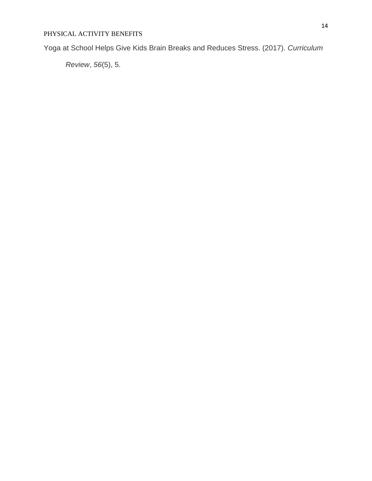Yoga at School Helps Give Kids Brain Breaks and Reduces Stress. (2017). *Curriculum* 

*Review*, *56*(5), 5.